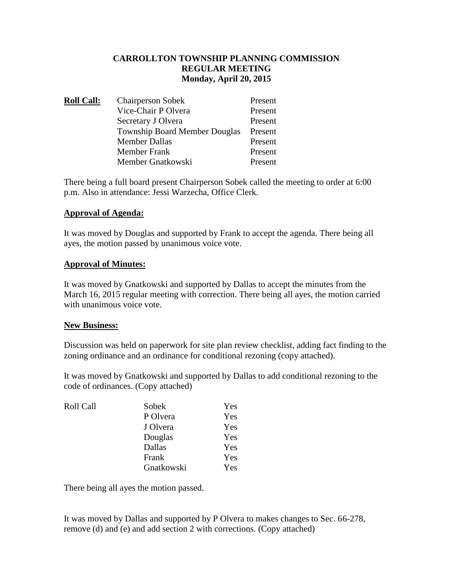# **CARROLLTON TOWNSHIP PLANNING COMMISSION REGULAR MEETING Monday, April 20, 2015**

| <b>Roll Call:</b> | <b>Chairperson Sobek</b>             | Present |
|-------------------|--------------------------------------|---------|
|                   | Vice-Chair P Olvera                  | Present |
|                   | Secretary J Olvera                   | Present |
|                   | <b>Township Board Member Douglas</b> | Present |
|                   | <b>Member Dallas</b>                 | Present |
|                   | <b>Member Frank</b>                  | Present |
|                   | Member Gnatkowski                    | Present |

There being a full board present Chairperson Sobek called the meeting to order at 6:00 p.m. Also in attendance: Jessi Warzecha, Office Clerk.

# **Approval of Agenda:**

It was moved by Douglas and supported by Frank to accept the agenda. There being all ayes, the motion passed by unanimous voice vote.

# **Approval of Minutes:**

It was moved by Gnatkowski and supported by Dallas to accept the minutes from the March 16, 2015 regular meeting with correction. There being all ayes, the motion carried with unanimous voice vote.

### **New Business:**

Discussion was held on paperwork for site plan review checklist, adding fact finding to the zoning ordinance and an ordinance for conditional rezoning (copy attached).

It was moved by Gnatkowski and supported by Dallas to add conditional rezoning to the code of ordinances. (Copy attached)

| Roll Call | Sobek      | Yes |
|-----------|------------|-----|
|           | P Olvera   | Yes |
|           | J Olvera   | Yes |
|           | Douglas    | Yes |
|           | Dallas     | Yes |
|           | Frank      | Yes |
|           | Gnatkowski | Yes |

There being all ayes the motion passed.

It was moved by Dallas and supported by P Olvera to makes changes to Sec. 66-278, remove (d) and (e) and add section 2 with corrections. (Copy attached)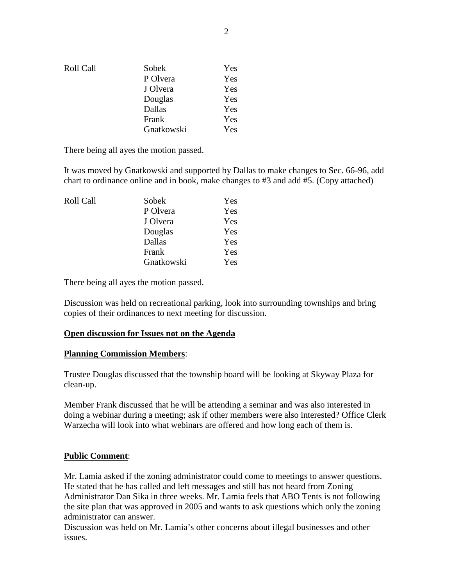| Roll Call | Sobek      | Yes |
|-----------|------------|-----|
|           | P Olvera   | Yes |
|           | J Olvera   | Yes |
|           | Douglas    | Yes |
|           | Dallas     | Yes |
|           | Frank      | Yes |
|           | Gnatkowski | Yes |

There being all ayes the motion passed.

It was moved by Gnatkowski and supported by Dallas to make changes to Sec. 66-96, add chart to ordinance online and in book, make changes to #3 and add #5. (Copy attached)

| Roll Call | Sobek      | Yes |
|-----------|------------|-----|
|           | P Olvera   | Yes |
|           | J Olvera   | Yes |
|           | Douglas    | Yes |
|           | Dallas     | Yes |
|           | Frank      | Yes |
|           | Gnatkowski | Yes |

There being all ayes the motion passed.

Discussion was held on recreational parking, look into surrounding townships and bring copies of their ordinances to next meeting for discussion.

### **Open discussion for Issues not on the Agenda**

#### **Planning Commission Members**:

Trustee Douglas discussed that the township board will be looking at Skyway Plaza for clean-up.

Member Frank discussed that he will be attending a seminar and was also interested in doing a webinar during a meeting; ask if other members were also interested? Office Clerk Warzecha will look into what webinars are offered and how long each of them is.

### **Public Comment**:

Mr. Lamia asked if the zoning administrator could come to meetings to answer questions. He stated that he has called and left messages and still has not heard from Zoning Administrator Dan Sika in three weeks. Mr. Lamia feels that ABO Tents is not following the site plan that was approved in 2005 and wants to ask questions which only the zoning administrator can answer.

Discussion was held on Mr. Lamia's other concerns about illegal businesses and other issues.